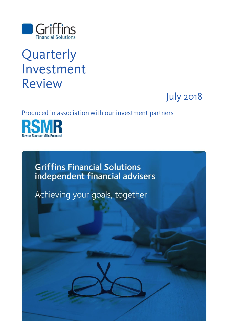

# Quarterly Investment Review

July 2018

### Produced in association with our investment partners



**Griffins Financial Solutions** independent financial advisers

Achieving your goals, together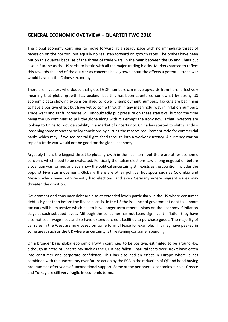#### **GENERAL ECONOMIC OVERVIEW – QUARTER TWO 2018**

The global economy continues to move forward at a steady pace with no immediate threat of recession on the horizon, but equally no real step forward on growth rates. The brakes have been put on this quarter because of the threat of trade wars, in the main between the US and China but also in Europe as the US seeks to battle with all the major trading blocks. Markets started to reflect this towards the end of the quarter as concerns have grown about the effects a potential trade war would have on the Chinese economy.

There are investors who doubt that global GDP numbers can move upwards from here, effectively meaning that global growth has peaked, but this has been countered somewhat by strong US economic data showing expansion allied to lower unemployment numbers. Tax cuts are beginning to have a positive effect but have yet to come through in any meaningful way in inflation numbers. Trade wars and tariff increases will undoubtedly put pressure on these statistics, but for the time being the US continues to pull the globe along with it. Perhaps the irony now is that investors are looking to China to provide stability in a market of uncertainty. China has started to shift slightly loosening some monetary policy conditions by cutting the reserve requirement ratio for commercial banks which may, if we see capital flight, feed through into a weaker currency. A currency war on top of a trade war would not be good for the global economy.

Arguably this is the biggest threat to global growth in the near term but there are other economic concerns which need to be evaluated. Politically the Italian elections saw a long negotiation before a coalition was formed and even now the political uncertainty still exists as the coalition includes the populist Five Star movement. Globally there are other political hot spots such as Colombia and Mexico which have both recently had elections, and even Germany where migrant issues may threaten the coalition.

Government and consumer debt are also at extended levels particularly in the US where consumer debt is higher than before the financial crisis. In the US the issuance of government debt to support tax cuts will be extensive which has to have longer term repercussions on the economy if inflation stays at such subdued levels. Although the consumer has not faced significant inflation they have also not seen wage rises and so have extended credit facilities to purchase goods. The majority of car sales in the West are now based on some form of lease for example. This may have peaked in some areas such as the UK where uncertainty is threatening consumer spending.

On a broader basis global economic growth continues to be positive, estimated to be around 4%, although in areas of uncertainty such as the UK it has fallen – natural fears over Brexit have eaten into consumer and corporate confidence. This has also had an effect in Europe where is has combined with the uncertainty over future action by the ECB in the reduction of QE and bond buying programmes after years of unconditional support. Some of the peripheral economies such as Greece and Turkey are still very fragile in economic terms.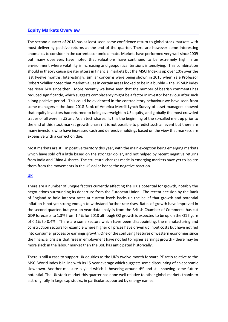#### **Equity Markets Overview**

The second quarter of 2018 has at least seen some confidence return to global stock markets with most delivering positive returns at the end of the quarter. There are however some interesting anomalies to consider in the current economic climate. Markets have performed very well since 2009 but many observers have noted that valuations have continued to be extremely high in an environment where volatility is increasing and geopolitical tensions intensifying. This combination should in theory cause greater jitters in financial markets but the MSCI Index is up over 10% over the last twelve months. Interestingly, similar concerns were being shown in 2015 when Yale Professor Robert Schiller noted that market values in certain areas looked to be in a bubble – the US S&P index has risen 34% since then. More recently we have seen that the number of bearish comments has reduced significantly, which suggests complacency might be a factor in investor behaviour after such a long positive period. This could be evidenced in the contradictory behaviour we have seen from some managers – the June 2018 Bank of America Merrill Lynch Survey of asset managers showed that equity investors had returned to being overweight in US equity, and globally the most crowded trades of all were in US and Asian tech shares. Is this the beginning of the so-called melt up prior to the end of this stock market growth phase? It is not possible to predict such an event but there are many investors who have increased cash and defensive holdings based on the view that markets are expensive with a correction due.

Most markets are still in positive territory this year, with the main exception being emerging markets which have sold off a little based on the stronger dollar, and not helped by recent negative returns from India and China A shares. The structural changes made in emerging markets have yet to isolate them from the movements in the US dollar hence the negative reaction.

#### **UK**

There are a number of unique factors currently affecting the UK's potential for growth, notably the negotiations surrounding its departure from the European Union. The recent decision by the Bank of England to hold interest rates at current levels backs up the belief that growth and potential inflation is not yet strong enough to withstand further rate rises. Rates of growth have improved in the second quarter, but year on year data analysis from the British Chamber of Commerce has cut GDP forecasts to 1.3% from 1.4% for 2018 although Q2 growth is expected to be up on the Q1 figure of 0.1% to 0.4%. There are some sectors which have been disappointing, the manufacturing and construction sectors for example where higher oil prices have driven up input costs but have not fed into consumer process or earnings growth. One of the confusing features of western economies since the financial crisis is that rises in employment have not led to higher earnings growth - there may be more slack in the labour market than the BoE has anticipated historically.

There is still a case to support UK equities as the UK's twelve-month forward PE ratio relative to the MSCI World Index is in line with its 15-year average which suggests some discounting of an economic slowdown. Another measure is yield which is hovering around 4% and still showing some future potential. The UK stock market this quarter has done well relative to other global markets thanks to a strong rally in large cap stocks, in particular supported by energy names.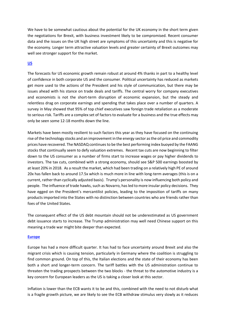We have to be somewhat cautious about the potential for the UK economy in the short term given the negotiations for Brexit, with business investment likely to be compromised. Recent consumer data and the issues on the UK high street are symptoms of this uncertainty and this is negative for the economy. Longer term attractive valuation levels and greater certainty of Brexit outcomes may well see stronger support for the market.

#### **US**

The forecasts for US economic growth remain robust at around 4% thanks in part to a healthy level of confidence in both corporate US and the consumer. Political uncertainty has reduced as markets get more used to the actions of the President and his style of communication, but there may be issues ahead with his stance on trade deals and tariffs. The central worry for company executives and economists is not the short-term disruption of economic expansion, but the steady and relentless drag on corporate earnings and spending that takes place over a number of quarters. A survey in May showed that 95% of top chief executives saw foreign trade retaliation as a moderate to serious risk. Tariffs are a complex set of factors to evaluate for a business and the true effects may only be seen some 12-18 months down the line.

Markets have been mostly resilient to such factors this year as they have focused on the continuing rise of the technology stocks and an improvement in the energy sector as the oil price and commodity prices have recovered. The NASDAQ continues to be the best performing index buoyed by the FAANG stocks that continually seem to defy valuation extremes. Recent tax cuts are now beginning to filter down to the US consumer as a number of firms start to increase wages or pay higher dividends to investors. The tax cuts, combined with a strong economy, should see S&P 500 earnings boosted by at least 20% in 2018. As a result the market, which had been trading on a relatively high PE of around 20x has fallen back to around 17.5x which is much more in line with long-term averages (this is on a current, rather than cyclically adjusted basis). Trump's personality is now influencing both policy and people. The influence of trade hawks, such as Novarro, has led to more insular policy decisions. They have egged on the President's mercantilist policies, leading to the imposition of tariffs on many products imported into the States with no distinction between countries who are friends rather than foes of the United States.

The consequent effect of the US debt mountain should not be underestimated as US government debt issuance starts to increase. The Trump administration may well need Chinese support on this meaning a trade war might bite deeper than expected.

#### **Europe**

Europe has had a more difficult quarter. It has had to face uncertainty around Brexit and also the migrant crisis which is causing tension, particularly in Germany where the coalition is struggling to find common ground. On top of this, the Italian elections and the state of their economy has been both a short and longer-term concern. The tariff battles with the US administration continue to threaten the trading prospects between the two blocks - the threat to the automotive industry is a key concern for European leaders as the US is taking a closer look at this sector.

Inflation is lower than the ECB wants it to be and this, combined with the need to not disturb what is a fragile growth picture, we are likely to see the ECB withdraw stimulus very slowly as it reduces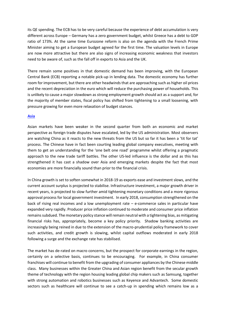its QE spending. The ECB has to be very careful because the experience of debt accumulation is very different across Europe – Germany has a zero government budget, whilst Greece has a debt to GDP ratio of 173%. At the same time Eurozone reform is also on the agenda with the French Prime Minister aiming to get a European budget agreed for the first time. The valuation levels in Europe are now more attractive but there are also signs of increasing economic weakness that investors need to be aware of, such as the fall off in exports to Asia and the UK.

There remain some positives in that domestic demand has been improving, with the European Central Bank (ECB) reporting a notable pick-up in lending data. The domestic economy has further room for improvement, but there are other headwinds that are approaching such as higher oil prices and the recent depreciation in the euro which will reduce the purchasing power of households. This is unlikely to cause a major slowdown as strong employment growth should act as a support and, for the majority of member states, fiscal policy has shifted from tightening to a small loosening, with pressure growing for even more relaxation of budget stances.

#### **Asia**

Asian markets have been weaker in the second quarter from both an economic and market perspective as foreign trade disputes have escalated, led by the US administration. Most observers are watching China as it reacts to the new threats from the US but so far it has been a 'tit for tat' process. The Chinese have in fact been courting leading global company executives, meeting with them to get an understanding for the 'one belt one road' programme whilst offering a pragmatic approach to the new trade tariff battles. The other US-led influence is the dollar and as this has strengthened it has cast a shadow over Asia and emerging markets despite the fact that most economies are more financially sound than prior to the financial crisis.

In China growth is set to soften somewhat in 2018-19 as exports ease and investment slows, and the current account surplus is projected to stabilise. Infrastructure investment, a major growth driver in recent years, is projected to slow further amid tightening monetary conditions and a more rigorous approval process for local government investment. In early 2018, consumption strengthened on the back of rising real incomes and a low unemployment rate  $-$  e-commerce sales in particular have expanded very rapidly. Producer price inflation continued to moderate and consumer price inflation remains subdued. The monetary policy stance will remain neutral with a tightening bias, as mitigating financial risks has, appropriately, become a key policy priority. Shadow banking activities are increasingly being reined in due to the extension of the macro-prudential policy framework to cover such activities, and credit growth is slowing, whilst capital outflows moderated in early 2018 following a surge and the exchange rate has stabilised.

The market has de-rated on macro concerns, but the prospect for corporate earnings in the region, certainly on a selective basis, continues to be encouraging. For example, in China consumer franchises will continue to benefit from the upgrading of consumer appliances by the Chinese middle class. Many businesses within the Greater China and Asian region benefit from the secular growth theme of technology with the region housing leading global chip makers such as Samsung, together with strong automation and robotics businesses such as Keyence and Advantech. Some domestic sectors such as healthcare will continue to see a catch-up in spending which remains low as a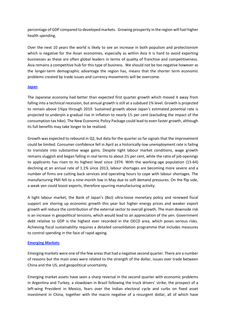percentage of GDP compared to developed markets. Growing prosperity in the region will fuel higher health spending.

Over the next 10 years the world is likely to see an increase in both populism and protectionism which is negative for the Asian economies, especially as within Asia it is hard to avoid exporting businesses as these are often global leaders in terms of quality of franchise and competitiveness. Asia remains a competitive hub for this type of business. We should not be too negative however as the longer-term demographic advantage the region has, means that the shorter term economic problems created by trade issues and currency movements will be overcome.

#### **Japan**

The Japanese economy had better than expected first quarter growth which moved it away from falling into a technical recession, but annual growth is still at a subdued 1% level. Growth is projected to remain above 1%pa through 2019. Sustained growth above Japan's estimated potential rate is projected to underpin a gradual rise in inflation to nearly 1½ per cent (excluding the impact of the consumption tax hike). The New Economic Policy Package could lead to even faster growth, although its full benefits may take longer to be realised.

Growth was expected to rebound in Q2, but data for the quarter so far signals that the improvement could be limited. Consumer confidence fell in April as a historically-low unemployment rate is failing to translate into substantive wage gains. Despite tight labour market conditions, wage growth remains sluggish and began falling in real terms to about 2½ per cent, while the ratio of job openings to applicants has risen to its highest level since 1974. With the working-age population (15-64) declining at an annual rate of 1.1% since 2013, labour shortages are becoming more severe and a number of firms are cutting back services and operating hours to cope with labour shortages. The manufacturing PMI fell to a nine-month low in May due to soft demand pressures. On the flip side, a weak yen could boost exports, therefore spurring manufacturing activity.

A tight labour market, the Bank of Japan's (BoJ) ultra-loose monetary policy and renewed fiscal support are shoring up economic growth this year but higher energy prices and weaker export growth will reduce the contribution of the external sector to overall growth. The main downside risk is an increase in geopolitical tensions, which would lead to an appreciation of the yen. Government debt relative to GDP is the highest ever recorded in the OECD area, which poses serious risks. Achieving fiscal sustainability requires a detailed consolidation programme that includes measures to control spending in the face of rapid ageing.

#### **Emerging Markets**

Emerging markets were one of the few areas that had a negative second quarter. There are a number of reasons but the main ones were related to the strength of the dollar, issues over trade between China and the US, and geopolitical uncertainty.

Emerging market assets have seen a sharp reversal in the second quarter with economic problems in Argentina and Turkey, a slowdown in Brazil following the truck drivers' strike, the prospect of a left-wing President in Mexico, fears over the Indian electoral cycle and curbs on fixed asset investment in China, together with the macro negative of a resurgent dollar, all of which have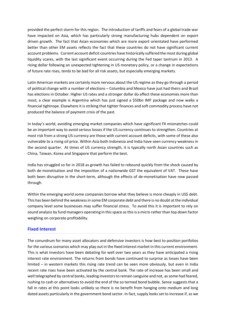provided the perfect storm for this region. The introduction of tariffs and fears of a global trade war have impacted on Asia, which has particularly strong manufacturing hubs dependent on export driven growth. The fact that Asian economies which are more export orientated have performed better than other EM assets reflects the fact that these countries do not have significant current account problems. Current account deficit countries have historically suffered the most during global liquidity scares, with the last significant event occurring during the Fed taper tantrum in 2013. A rising dollar following an unexpected tightening in US monetary policy, or a change in expectations of future rate rises, tends to be bad for all risk assets, but especially emerging markets.

Latin American markets are certainly more nervous about the US regime as they go through a period of political change with a number of elections – Columbia and Mexico have just had theirs and Brazil has elections in October. Higher US rates and a stronger dollar do affect these economies more than most; a clear example is Argentina which has just signed a \$50bn IMF package and now walks a financial tightrope. Elsewhere it is striking that tighter finances and soft commodity process have not produced the balance of payment crisis of the past.

In today's world, avoiding emerging market companies which have significant FX mismatches could be an important way to avoid serious losses if the US currency continues to strengthen. Countries at most risk from a strong US currency are those with current account deficits, with some of these also vulnerable to a rising oil price. Within Asia both Indonesia and India have seen currency weakness in the second quarter. At times of US currency strength, it is typically north Asian countries such as China, Taiwan, Korea and Singapore that perform the best.

India has struggled so far in 2018 as growth has failed to rebound quickly from the shock caused by both de-monetisation and the imposition of a nationwide GST the equivalent of VAT. These have both been disruptive in the short-term, although the effects of de-monetisation have now passed through.

Within the emerging world some companies borrow what they believe is more cheaply in US\$ debt. This has been behind the weakness in some EM corporate debt and there is no doubt at the individual company level some businesses may suffer financial stress. To avoid this it is important to rely on sound analysis by fund managers operating in this space as this is a micro rather than top down factor weighing on corporate profitability.

#### **Fixed Interest**

The conundrum for many asset allocators and defensive investors is how best to position portfolios for the various scenarios which may play out in the fixed interest market in this current environment. This is what investors have been debating for well over two years as they have anticipated a rising interest rate environment. The returns from bonds have continued to surprise as losses have been limited – in western markets this rising rate trend can be seen more obviously, but even in India recent rate rises have been activated by the central bank. The rate of increase has been small and well telegraphed by central banks, leading investors to remain sanguine and not, as some had feared, rushing to cash or alternatives to avoid the end of the so termed bond bubble. Sense suggests that a fall in rates at this point looks unlikely so there is no benefit from hanging onto medium and long dated assets particularly in the government bond sector. In fact, supply looks set to increase if, as we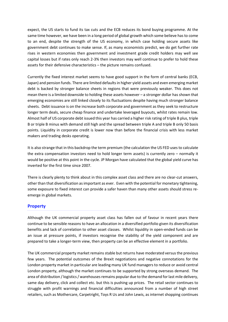expect, the US starts to fund its tax cuts and the ECB reduces its bond buying programme. At the same time however, we have been in a long period of global growth which some believe has to come to an end, despite the strength of the US economy, in which case holding secure assets like government debt continues to make sense. If, as many economists predict, we do get further rate rises in western economies then government and investment grade credit holders may well see capital losses but if rates only reach 2-3% then investors may well continue to prefer to hold these assets for their defensive characteristics – the picture remains confused.

Currently the fixed interest market seems to have good support in the form of central banks (ECB, Japan) and pension funds. There are limited defaults in higher yield assets and even emerging market debt is backed by stronger balance sheets in regions that were previously weaker. This does not mean there is a limited downside to holding these assets however – a stronger dollar has shown that emerging economies are still linked closely to its fluctuations despite having much stronger balance sheets. Debt issuance is on the increase both corporate and government as they seek to restructure longer term deals, secure cheap finance and undertake leveraged buyouts, whilst rates remain low. Almost half of US corporate debt issued this year has carried a higher risk rating of triple B plus, triple B or triple B minus with demand still high and the spread between triple A and triple B only 50 basis points. Liquidity in corporate credit is lower now than before the financial crisis with less market makers and trading desks operating.

It is also strange that in this backdrop the term premium (the calculation the US FED uses to calculate the extra compensation investors need to hold longer term assets) is currently zero – normally it would be positive at this point in the cycle. JP Morgan have calculated that the global yield curve has inverted for the first time since 2007.

There is clearly plenty to think about in this complex asset class and there are no clear-cut answers, other than that diversification as important as ever. Even with the potential for monetary tightening, some exposure to fixed interest can provide a safer haven than many other assets should stress reemerge in global markets.

#### **Property**

Although the UK commercial property asset class has fallen out of favour in recent years there continue to be sensible reasons to have an allocation in a diversified portfolio given its diversification benefits and lack of correlation to other asset classes. Whilst liquidity in open-ended funds can be an issue at pressure points, if investors recognise the stability of the yield component and are prepared to take a longer-term view, then property can be an effective element in a portfolio.

The UK commercial property market remains stable but returns have moderated versus the previous few years. The potential outcomes of the Brexit negotiations and negative connotations for the London property market in particular are leading many UK fund managers to reduce or avoid central London property, although the market continues to be supported by strong overseas demand. The area of distribution / logistics / warehouses remains popular due to the demand for last mile delivery, same day delivery, click and collect etc. but this is pushing up prices. The retail sector continues to struggle with profit warnings and financial difficulties announced from a number of high street retailers, such as Mothercare, Carpetright, Toys R Us and John Lewis, as internet shopping continues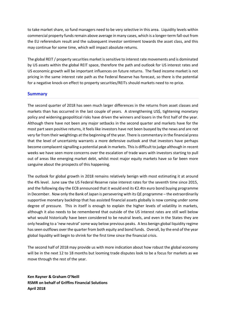to take market share, so fund managers need to be very selective in this area. Liquidity levels within commercial property funds remain above average in many cases, which is a longer-term fall-out from the EU referendum result and the subsequent investor sentiment towards the asset class, and this may continue for some time, which will impact absolute returns.

The global REIT / property securities market is sensitive to interest rate movements and is dominated by US assets within the global REIT space, therefore the path and outlook for US interest rates and US economic growth will be important influences on future returns. The fixed income market is not pricing in the same interest rate path as the Federal Reserve has forecast, so there is the potential for a negative knock-on effect to property securities/REITs should markets need to re-price.

#### **Summary**

The second quarter of 2018 has seen much larger differences in the returns from asset classes and markets than has occurred in the last couple of years. A strengthening US\$, tightening monetary policy and widening geopolitical risks have driven the winners and losers in the first half of the year. Although there have not been any major setbacks in the second quarter and markets have for the most part seen positive returns, it feels like investors have not been buoyed by the news and are not very far from their weightings at the beginning of the year. There is commentary in the financial press that the level of uncertainty warrants a more defensive outlook and that investors have perhaps become complacent signalling a potential peak in markets. This is difficult to judge although in recent weeks we have seen more concerns over the escalation of trade wars with investors starting to pull out of areas like emerging market debt, whilst most major equity markets have so far been more sanguine about the prospects of this happening.

The outlook for global growth in 2018 remains relatively benign with most estimating it at around the 4% level. June saw the US Federal Reserve raise interest rates for the seventh time since 2015, and the following day the ECB announced that it would end its €2.4tn euro bond buying programme in December. Now only the Bank of Japan is persevering with its QE programme – the extraordinarily supportive monetary backdrop that has assisted financial assets globally is now coming under some degree of pressure. This in itself is enough to explain the higher levels of volatility in markets, although it also needs to be remembered that outside of the US interest rates are still well below what would historically have been considered to be neutral levels, and even in the States they are only heading to a 'new neutral' some way below previous peaks. A less benign global liquidity regime has seen outflows over the quarter from both equity and bond funds. Overall, by the end of the year global liquidity will begin to shrink for the first time since the financial crisis.

The second half of 2018 may provide us with more indication about how robust the global economy will be in the next 12 to 18 months but looming trade disputes look to be a focus for markets as we move through the rest of the year.

**Ken Rayner & Graham O'Neill RSMR on behalf of Griffins Financial Solutions April 2018**